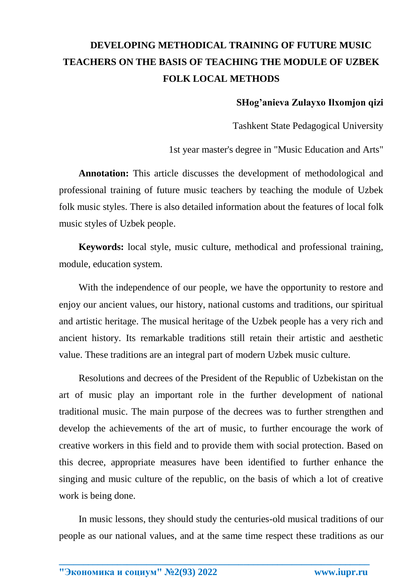## **DEVELOPING METHODICAL TRAINING OF FUTURE MUSIC TEACHERS ON THE BASIS OF TEACHING THE MODULE OF UZBEK FOLK LOCAL METHODS**

## **SHog'anieva Zulayxo Ilxomjon qizi**

Tashkent State Pedagogical University

1st year master's degree in "Music Education and Arts"

**Annotation:** This article discusses the development of methodological and professional training of future music teachers by teaching the module of Uzbek folk music styles. There is also detailed information about the features of local folk music styles of Uzbek people.

**Keywords:** local style, music culture, methodical and professional training, module, education system.

With the independence of our people, we have the opportunity to restore and enjoy our ancient values, our history, national customs and traditions, our spiritual and artistic heritage. The musical heritage of the Uzbek people has a very rich and ancient history. Its remarkable traditions still retain their artistic and aesthetic value. These traditions are an integral part of modern Uzbek music culture.

Resolutions and decrees of the President of the Republic of Uzbekistan on the art of music play an important role in the further development of national traditional music. The main purpose of the decrees was to further strengthen and develop the achievements of the art of music, to further encourage the work of creative workers in this field and to provide them with social protection. Based on this decree, appropriate measures have been identified to further enhance the singing and music culture of the republic, on the basis of which a lot of creative work is being done.

In music lessons, they should study the centuries-old musical traditions of our people as our national values, and at the same time respect these traditions as our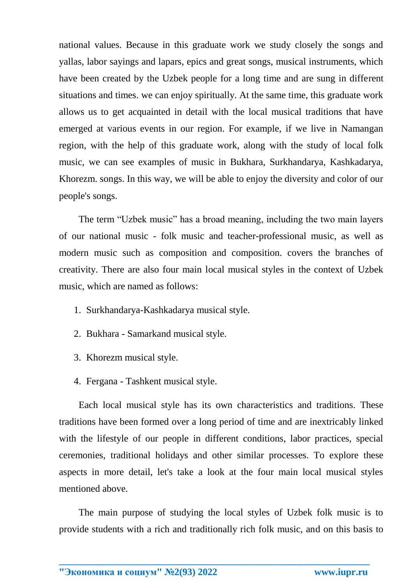national values. Because in this graduate work we study closely the songs and yallas, labor sayings and lapars, epics and great songs, musical instruments, which have been created by the Uzbek people for a long time and are sung in different situations and times. we can enjoy spiritually. At the same time, this graduate work allows us to get acquainted in detail with the local musical traditions that have emerged at various events in our region. For example, if we live in Namangan region, with the help of this graduate work, along with the study of local folk music, we can see examples of music in Bukhara, Surkhandarya, Kashkadarya, Khorezm. songs. In this way, we will be able to enjoy the diversity and color of our people's songs.

The term "Uzbek music" has a broad meaning, including the two main layers of our national music - folk music and teacher-professional music, as well as modern music such as composition and composition. covers the branches of creativity. There are also four main local musical styles in the context of Uzbek music, which are named as follows:

- 1. Surkhandarya-Kashkadarya musical style.
- 2. Bukhara Samarkand musical style.
- 3. Khorezm musical style.
- 4. Fergana Tashkent musical style.

Each local musical style has its own characteristics and traditions. These traditions have been formed over a long period of time and are inextricably linked with the lifestyle of our people in different conditions, labor practices, special ceremonies, traditional holidays and other similar processes. To explore these aspects in more detail, let's take a look at the four main local musical styles mentioned above.

The main purpose of studying the local styles of Uzbek folk music is to provide students with a rich and traditionally rich folk music, and on this basis to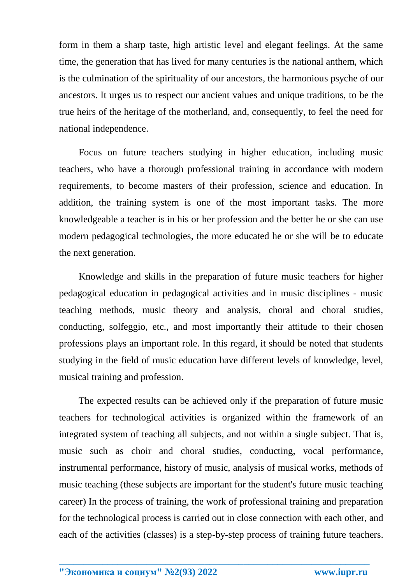form in them a sharp taste, high artistic level and elegant feelings. At the same time, the generation that has lived for many centuries is the national anthem, which is the culmination of the spirituality of our ancestors, the harmonious psyche of our ancestors. It urges us to respect our ancient values and unique traditions, to be the true heirs of the heritage of the motherland, and, consequently, to feel the need for national independence.

Focus on future teachers studying in higher education, including music teachers, who have a thorough professional training in accordance with modern requirements, to become masters of their profession, science and education. In addition, the training system is one of the most important tasks. The more knowledgeable a teacher is in his or her profession and the better he or she can use modern pedagogical technologies, the more educated he or she will be to educate the next generation.

Knowledge and skills in the preparation of future music teachers for higher pedagogical education in pedagogical activities and in music disciplines - music teaching methods, music theory and analysis, choral and choral studies, conducting, solfeggio, etc., and most importantly their attitude to their chosen professions plays an important role. In this regard, it should be noted that students studying in the field of music education have different levels of knowledge, level, musical training and profession.

The expected results can be achieved only if the preparation of future music teachers for technological activities is organized within the framework of an integrated system of teaching all subjects, and not within a single subject. That is, music such as choir and choral studies, conducting, vocal performance, instrumental performance, history of music, analysis of musical works, methods of music teaching (these subjects are important for the student's future music teaching career) In the process of training, the work of professional training and preparation for the technological process is carried out in close connection with each other, and each of the activities (classes) is a step-by-step process of training future teachers.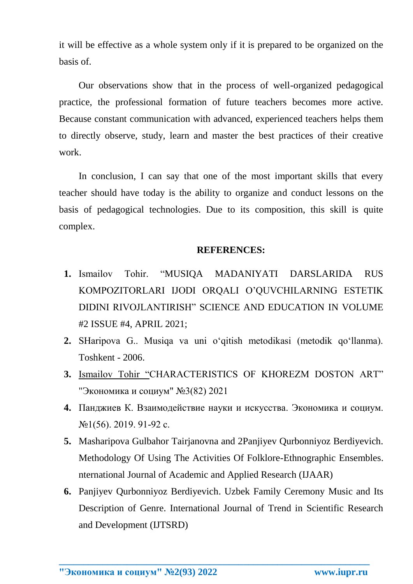it will be effective as a whole system only if it is prepared to be organized on the basis of.

Our observations show that in the process of well-organized pedagogical practice, the professional formation of future teachers becomes more active. Because constant communication with advanced, experienced teachers helps them to directly observe, study, learn and master the best practices of their creative work.

In conclusion, I can say that one of the most important skills that every teacher should have today is the ability to organize and conduct lessons on the basis of pedagogical technologies. Due to its composition, this skill is quite complex.

## **REFERENCES:**

- **1.** Ismailov Tohir. "MUSIQA MADANIYATI DARSLARIDA RUS KOMPOZITORLARI IJODI ORQALI O'QUVCHILARNING ESTETIK DIDINI RIVOJLANTIRISH" SCIENCE AND EDUCATION IN VOLUME #2 ISSUE #4, APRIL 2021;
- **2.** SHaripova G.. Musiqa va uni o'qitish metodikasi (metodik qo'llanma). Toshkent - 2006.
- **3.** Ismailov Tohir "CHARACTERISTICS OF KHOREZM DOSTON ART" "Экономика и социум" №3(82) 2021
- **4.** Панджиев К. Взаимодействие науки и искусства. Экономика и социум. №1(56). 2019. 91-92 с.
- **5.** Masharipova Gulbahor Tairjanovna and 2Panjiyev Qurbonniyoz Berdiyevich. Methodology Of Using The Activities Of Folklore-Ethnographic Ensembles. nternational Journal of Academic and Applied Research (IJAAR)
- **6.** Panjiyev Qurbonniyoz Berdiyevich. Uzbek Family Ceremony Music and Its Description of Genre. International Journal of Trend in Scientific Research and Development (IJTSRD)